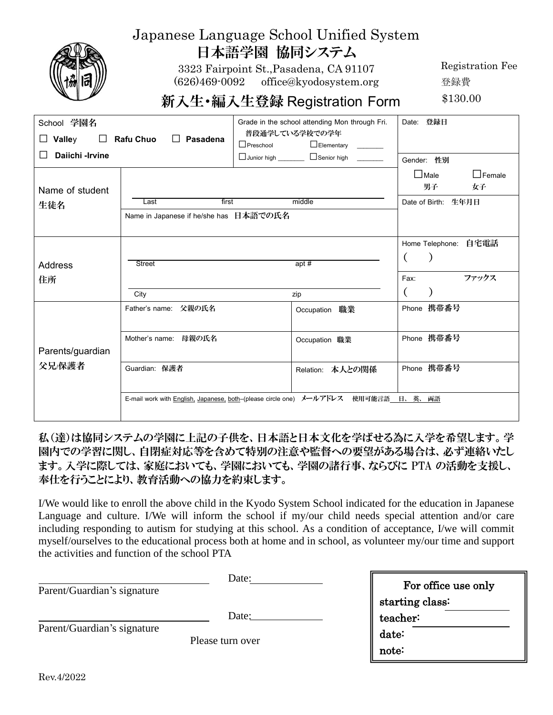|                                          |                                                         | 日本語学園 協同システム<br>3323 Fairpoint St., Pasadena, CA 91107<br>(626)469-0092 office@kyodosystem.org<br>新入生•編入生登録 Registration Form                                  | Registration Fee<br>登録費<br>\$130.00                                |
|------------------------------------------|---------------------------------------------------------|----------------------------------------------------------------------------------------------------------------------------------------------------------------|--------------------------------------------------------------------|
| School 学園名<br>Valley<br>Daiichi - Irvine | <b>Rafu Chuo</b><br>$\Box$ Pasadena                     | Grade in the school attending Mon through Fri.<br>普段通学している学校での学年<br>$\Box$ Preschool<br>Elementary _______<br>□ Junior high <u>_____________</u> □ Senior high | Date: 登録日<br>Gender: 性別                                            |
| Name of student<br>生徒名                   | first<br>Last<br>Name in Japanese if he/she has 日本語での氏名 | middle                                                                                                                                                         | $\Box$ Female<br>$\square$ Male<br>男子<br>女子<br>Date of Birth: 生年月日 |
| <b>Address</b><br>住所                     | <b>Street</b><br>City                                   | apt $#$<br>zip                                                                                                                                                 | Home Telephone: 自宅電話<br>ファックス<br>Fax:                              |
| Parents/guardian                         | Father's name: 父親の氏名<br>Mother's name: 母親の氏名            | Occupation 職業<br>Occupation 職業                                                                                                                                 | Phone 携带番号<br>Phone 携带番号                                           |
| 父兄/保護者                                   | Guardian: 保護者                                           | Relation: 本人との関係<br>E-mail work with English, Japanese, both-(please circle one) メールアドレス 使用可能言語 日、英、両語                                                         | Phone 携帯番号                                                         |

Japanese Language School Unified System

## 私(達)は協同システムの学園に上記の子供を、日本語と日本文化を学ばせる為に入学を希望します。学 園内での学習に関し、自閉症対応等を含めて特別の注意や監督への要望がある場合は、必ず連絡いたし ます。入学に際しては、家庭においても、学園においても、学園の諸行事、ならびに PTA の活動を支援し、 奉仕を行うことにより、教育活動への協力を約束します。

I/We would like to enroll the above child in the Kyodo System School indicated for the education in Japanese Language and culture. I/We will inform the school if my/our child needs special attention and/or care including responding to autism for studying at this school. As a condition of acceptance, I/we will commit myself/ourselves to the educational process both at home and in school, as volunteer my/our time and support the activities and function of the school PTA

| Parent/Guardian's signature                     | Date: | For office use only |
|-------------------------------------------------|-------|---------------------|
|                                                 |       | starting class:     |
|                                                 | Date: | teacher:            |
| Parent/Guardian's signature<br>Please turn over |       | date:               |
|                                                 |       | note:               |